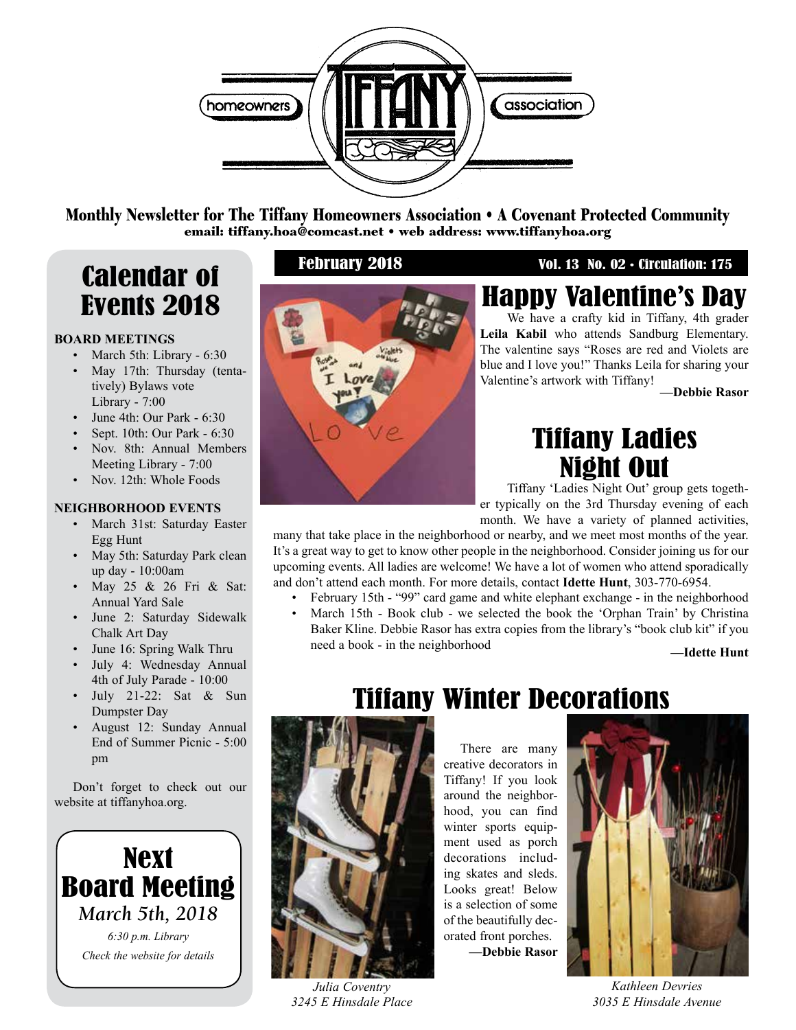

Monthly Newsletter for The Tiffany Homeowners Association • A Covenant Protected Community email: tiffany.hoa@comcast.net • web address: www.tiffanyhoa.org

## Calendar of February 2018 Vol. 13 No. 02 • Circulation: 175 Events 2018

### **BOARD MEETINGS**

- March 5th: Library 6:30
- May 17th: Thursday (tentatively) Bylaws vote Library - 7:00
- June 4th: Our Park 6:30
- Sept. 10th: Our Park 6:30
- Nov. 8th: Annual Members Meeting Library - 7:00
- Nov. 12th: Whole Foods

### **NEIGHBORHOOD EVENTS**

- March 31st: Saturday Easter Egg Hunt
- May 5th: Saturday Park clean up day - 10:00am
- May 25 & 26 Fri & Sat: Annual Yard Sale
- June 2: Saturday Sidewalk Chalk Art Day
- June 16: Spring Walk Thru
- July 4: Wednesday Annual 4th of July Parade - 10:00
- July 21-22: Sat & Sun Dumpster Day
- August 12: Sunday Annual End of Summer Picnic - 5:00 pm

Don't forget to check out our website at tiffanyhoa.org.





## Happy Valentine's Day

We have a crafty kid in Tiffany, 4th grader **Leila Kabil** who attends Sandburg Elementary. The valentine says "Roses are red and Violets are blue and I love you!" Thanks Leila for sharing your Valentine's artwork with Tiffany!

**—Debbie Rasor**

## Tiffany Ladies Night Out

Tiffany 'Ladies Night Out' group gets together typically on the 3rd Thursday evening of each month. We have a variety of planned activities,

many that take place in the neighborhood or nearby, and we meet most months of the year. It's a great way to get to know other people in the neighborhood. Consider joining us for our upcoming events. All ladies are welcome! We have a lot of women who attend sporadically and don't attend each month. For more details, contact **Idette Hunt**, 303-770-6954.

- February 15th "99" card game and white elephant exchange in the neighborhood
- March 15th Book club we selected the book the 'Orphan Train' by Christina Baker Kline. Debbie Rasor has extra copies from the library's "book club kit" if you need a book - in the neighborhood **—Idette Hunt**



*Julia Coventry 3245 E Hinsdale Place*

## Tiffany Winter Decorations

There are many creative decorators in Tiffany! If you look around the neighborhood, you can find winter sports equipment used as porch decorations including skates and sleds. Looks great! Below is a selection of some of the beautifully decorated front porches. **—Debbie Rasor**



*Kathleen Devries 3035 E Hinsdale Avenue*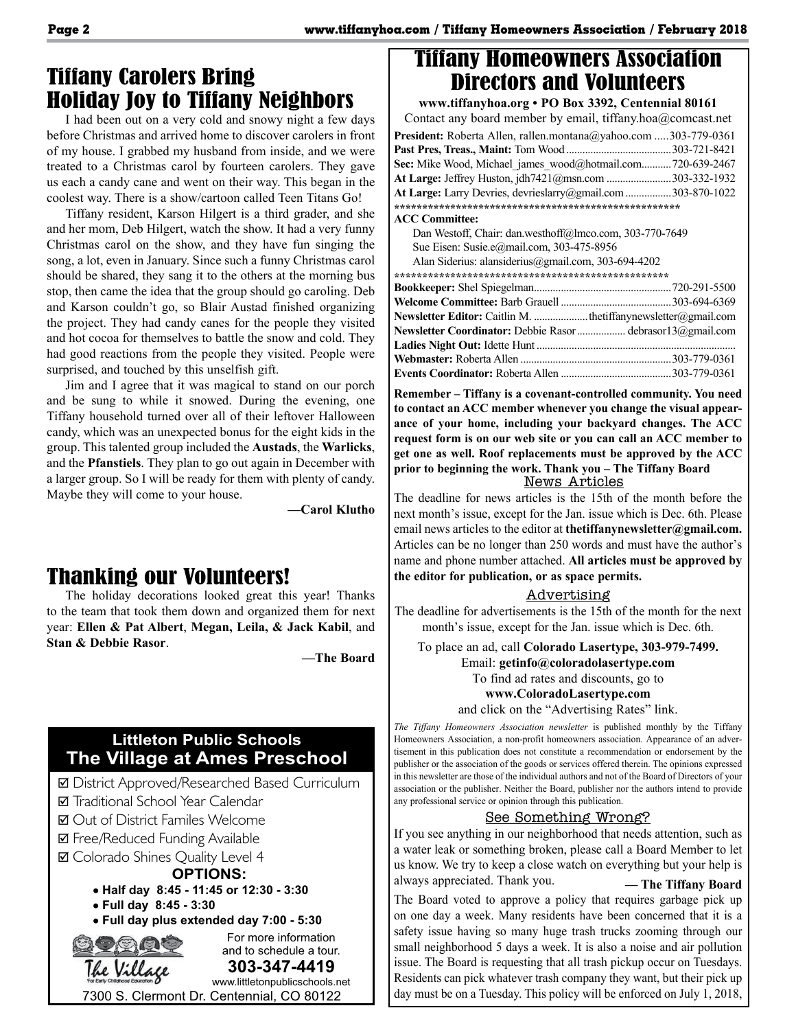## Tiffany Carolers Bring Holiday Joy to Tiffany Neighbors

I had been out on a very cold and snowy night a few days before Christmas and arrived home to discover carolers in front of my house. I grabbed my husband from inside, and we were treated to a Christmas carol by fourteen carolers. They gave us each a candy cane and went on their way. This began in the coolest way. There is a show/cartoon called Teen Titans Go!

Tiffany resident, Karson Hilgert is a third grader, and she and her mom, Deb Hilgert, watch the show. It had a very funny Christmas carol on the show, and they have fun singing the song, a lot, even in January. Since such a funny Christmas carol should be shared, they sang it to the others at the morning bus stop, then came the idea that the group should go caroling. Deb and Karson couldn't go, so Blair Austad finished organizing the project. They had candy canes for the people they visited and hot cocoa for themselves to battle the snow and cold. They had good reactions from the people they visited. People were surprised, and touched by this unselfish gift.

Jim and I agree that it was magical to stand on our porch and be sung to while it snowed. During the evening, one Tiffany household turned over all of their leftover Halloween candy, which was an unexpected bonus for the eight kids in the group. This talented group included the **Austads**, the **Warlicks**, and the **Pfanstiels**. They plan to go out again in December with a larger group. So I will be ready for them with plenty of candy. Maybe they will come to your house.

**—Carol Klutho**

## Thanking our Volunteers!

The holiday decorations looked great this year! Thanks to the team that took them down and organized them for next year: **Ellen & Pat Albert**, **Megan, Leila, & Jack Kabil**, and **Stan & Debbie Rasor**.

**—The Board**

### **Littleton Public Schools The Village at Ames Preschool**

- þ District Approved/Researched Based Curriculum
- Traditional School Year Calendar
- þ Out of District Familes Welcome
- **Ø** Free/Reduced Funding Available
- þ Colorado Shines Quality Level 4

### **OPTIONS:**

- Ÿ **Half day 8:45 11:45 or 12:30 3:30**
- Ÿ **Full day 8:45 3:30**
- $\bullet$  Full day plus extended day 7:00 5:30



## Tiffany Homeowners Association Directors and Volunteers

**www.tiffanyhoa.org • PO Box 3392, Centennial 80161** Contact any board member by email, tiffany.hoa@comcast.net **President:** Roberta Allen, rallen.montana@yahoo.com .....303-779-0361 **Past Pres, Treas., Maint:** Tom Wood .......................................303-721-8421 Sec: Mike Wood, Michael\_james\_wood@hotmail.com...........720-639-2467 **At Large:** Jeffrey Huston, jdh7421@msn.com ........................303-332-1932 **At Large:** Larry Devries, devrieslarry@gmail.com.................303-870-1022 **\*\*\*\*\*\*\*\*\*\*\*\*\*\*\*\*\*\*\*\*\*\*\*\*\*\*\*\*\*\*\*\*\*\*\*\*\*\*\*\*\*\*\*\*\*\*\*\*\*\*\* ACC Committee:** Dan Westoff, Chair: dan.westhoff@lmco.com, 303-770-7649 Sue Eisen: Susie.e@mail.com, 303-475-8956 Alan Siderius: alansiderius@gmail.com, 303-694-4202 **\*\*\*\*\*\*\*\*\*\*\*\*\*\*\*\*\*\*\*\*\*\*\*\*\*\*\*\*\*\*\*\*\*\*\*\*\*\*\*\*\*\*\*\*\*\*\*\*\* Bookkeeper:** Shel Spiegelman...................................................720-291-5500 **Welcome Committee:** Barb Grauell .........................................303-694-6369 **Newsletter Editor:** Caitlin M. ....................thetiffanynewsletter@gmail.com **Newsletter Coordinator:** Debbie Rasor.................. debrasor13@gmail.com **Ladies Night Out:** Idette Hunt .......................................................................... **Webmaster:** Roberta Allen ........................................................303-779-0361 **Events Coordinator:** Roberta Allen .........................................303-779-0361

**Remember – Tiffany is a covenant-controlled community. You need to contact an ACC member whenever you change the visual appearance of your home, including your backyard changes. The ACC request form is on our web site or you can call an ACC member to get one as well. Roof replacements must be approved by the ACC prior to beginning the work. Thank you – The Tiffany Board**

#### News Articles

The deadline for news articles is the 15th of the month before the next month's issue, except for the Jan. issue which is Dec. 6th. Please email news articles to the editor at **thetiffanynewsletter@gmail.com.** Articles can be no longer than 250 words and must have the author's name and phone number attached. **All articles must be approved by the editor for publication, or as space permits.** 

### Advertising

The deadline for advertisements is the 15th of the month for the next month's issue, except for the Jan. issue which is Dec. 6th.

To place an ad, call **Colorado Lasertype, 303-979-7499.**

#### Email: **getinfo@coloradolasertype.com**

To find ad rates and discounts, go to

#### **www.ColoradoLasertype.com**

and click on the "Advertising Rates" link.

*The Tiffany Homeowners Association newsletter* is published monthly by the Tiffany Homeowners Association, a non-profit homeowners association. Appearance of an advertisement in this publication does not constitute a recommendation or endorsement by the publisher or the association of the goods or services offered therein. The opinions expressed in this newsletter are those of the individual authors and not of the Board of Directors of your association or the publisher. Neither the Board, publisher nor the authors intend to provide any professional service or opinion through this publication.

### See Something Wrong?

If you see anything in our neighborhood that needs attention, such as a water leak or something broken, please call a Board Member to let us know. We try to keep a close watch on everything but your help is always appreciated. Thank you. **— The Tiffany Board**

The Board voted to approve a policy that requires garbage pick up on one day a week. Many residents have been concerned that it is a safety issue having so many huge trash trucks zooming through our small neighborhood 5 days a week. It is also a noise and air pollution issue. The Board is requesting that all trash pickup occur on Tuesdays. Residents can pick whatever trash company they want, but their pick up day must be on a Tuesday. This policy will be enforced on July 1, 2018,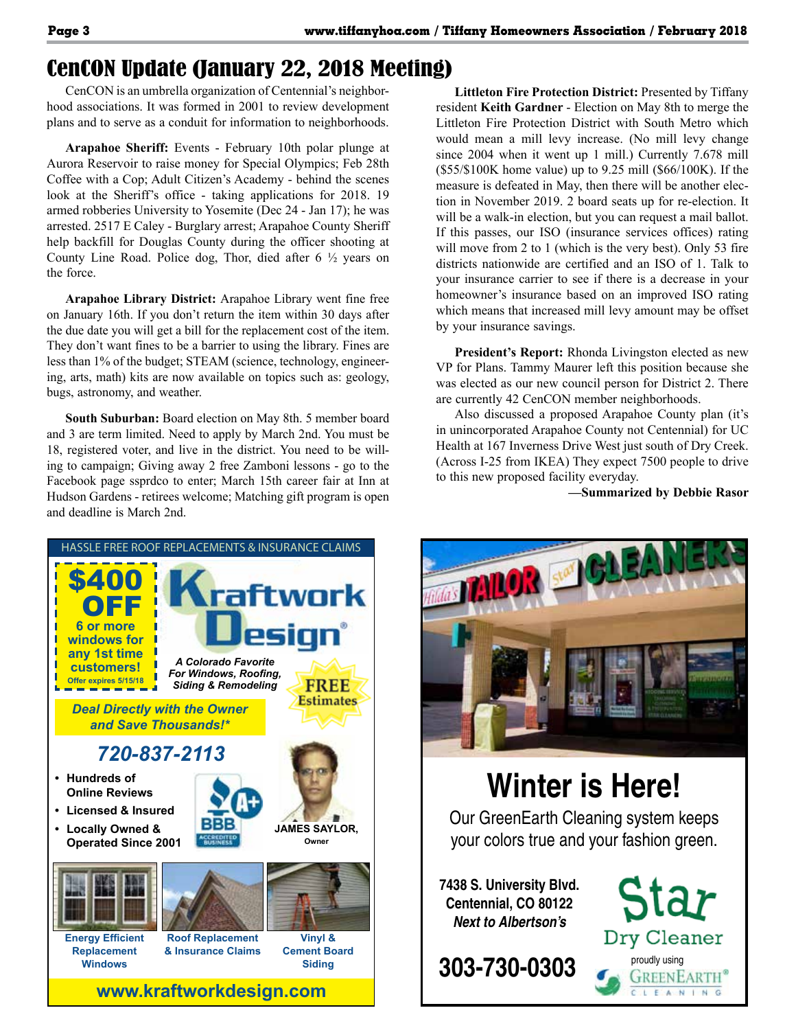## CenCON Update (January 22, 2018 Meeting)

CenCON is an umbrella organization of Centennial's neighborhood associations. It was formed in 2001 to review development plans and to serve as a conduit for information to neighborhoods.

**Arapahoe Sheriff:** Events - February 10th polar plunge at Aurora Reservoir to raise money for Special Olympics; Feb 28th Coffee with a Cop; Adult Citizen's Academy - behind the scenes look at the Sheriff's office - taking applications for 2018. 19 armed robberies University to Yosemite (Dec 24 - Jan 17); he was arrested. 2517 E Caley - Burglary arrest; Arapahoe County Sheriff help backfill for Douglas County during the officer shooting at County Line Road. Police dog, Thor, died after 6 ½ years on the force.

**Arapahoe Library District:** Arapahoe Library went fine free on January 16th. If you don't return the item within 30 days after the due date you will get a bill for the replacement cost of the item. They don't want fines to be a barrier to using the library. Fines are less than 1% of the budget; STEAM (science, technology, engineering, arts, math) kits are now available on topics such as: geology, bugs, astronomy, and weather.

**South Suburban:** Board election on May 8th. 5 member board and 3 are term limited. Need to apply by March 2nd. You must be 18, registered voter, and live in the district. You need to be willing to campaign; Giving away 2 free Zamboni lessons - go to the Facebook page ssprdco to enter; March 15th career fair at Inn at Hudson Gardens - retirees welcome; Matching gift program is open and deadline is March 2nd.

**Littleton Fire Protection District:** Presented by Tiffany resident **Keith Gardner** - Election on May 8th to merge the Littleton Fire Protection District with South Metro which would mean a mill levy increase. (No mill levy change since 2004 when it went up 1 mill.) Currently 7.678 mill (\$55/\$100K home value) up to 9.25 mill (\$66/100K). If the measure is defeated in May, then there will be another election in November 2019. 2 board seats up for re-election. It will be a walk-in election, but you can request a mail ballot. If this passes, our ISO (insurance services offices) rating will move from 2 to 1 (which is the very best). Only 53 fire districts nationwide are certified and an ISO of 1. Talk to your insurance carrier to see if there is a decrease in your homeowner's insurance based on an improved ISO rating which means that increased mill levy amount may be offset by your insurance savings.

**President's Report:** Rhonda Livingston elected as new VP for Plans. Tammy Maurer left this position because she was elected as our new council person for District 2. There are currently 42 CenCON member neighborhoods.

Also discussed a proposed Arapahoe County plan (it's in unincorporated Arapahoe County not Centennial) for UC Health at 167 Inverness Drive West just south of Dry Creek. (Across I-25 from IKEA) They expect 7500 people to drive to this new proposed facility everyday.

**—Summarized by Debbie Rasor**



# **Winter is Here!**

Our GreenEarth Cleaning system keeps your colors true and your fashion green.

**7438 S. University Blvd. Centennial, CO 80122** *Next to Albertson's*

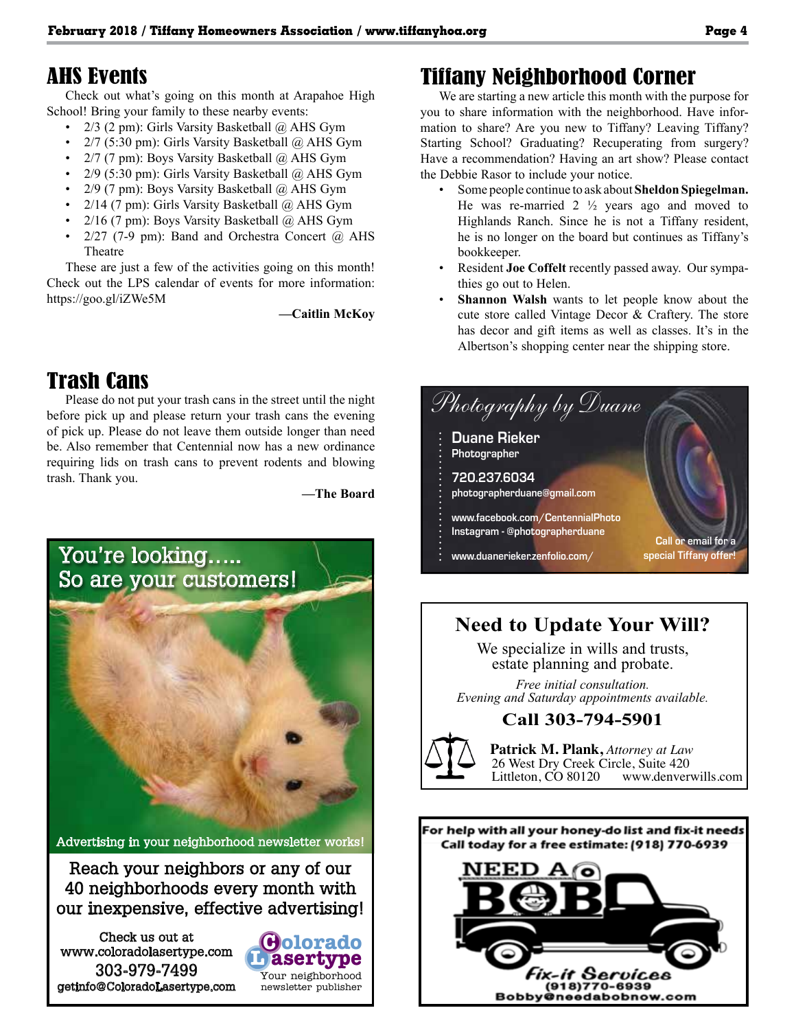### AHS Events

Check out what's going on this month at Arapahoe High School! Bring your family to these nearby events:

- 2/3 (2 pm): Girls Varsity Basketball @ AHS Gym
- 2/7 (5:30 pm): Girls Varsity Basketball @ AHS Gym
- 2/7 (7 pm): Boys Varsity Basketball @ AHS Gym
- 2/9 (5:30 pm): Girls Varsity Basketball @ AHS Gym
- 2/9 (7 pm): Boys Varsity Basketball @ AHS Gym
- $2/14$  (7 pm): Girls Varsity Basketball  $\omega$  AHS Gym
- 2/16 (7 pm): Boys Varsity Basketball @ AHS Gym
- 2/27 (7-9 pm): Band and Orchestra Concert @ AHS Theatre

These are just a few of the activities going on this month! Check out the LPS calendar of events for more information: https://goo.gl/iZWe5M

**—Caitlin McKoy**

## Trash Cans

Please do not put your trash cans in the street until the night before pick up and please return your trash cans the evening of pick up. Please do not leave them outside longer than need be. Also remember that Centennial now has a new ordinance requiring lids on trash cans to prevent rodents and blowing trash. Thank you.

**—The Board**

**L asertype C olorado**

Your neighborhood newsletter publisher



Advertising in your neighborhood newsletter works!

Reach your neighbors or any of our 40 neighborhoods every month with our inexpensive, effective advertising!

Check us out at www.coloradolasertype.com 303-979-7499 getinfo@ColoradoLasertype.com

## Tiffany Neighborhood Corner

We are starting a new article this month with the purpose for you to share information with the neighborhood. Have information to share? Are you new to Tiffany? Leaving Tiffany? Starting School? Graduating? Recuperating from surgery? Have a recommendation? Having an art show? Please contact the Debbie Rasor to include your notice.

- Some people continue to ask about **Sheldon Spiegelman.**  He was re-married  $2 \frac{1}{2}$  years ago and moved to Highlands Ranch. Since he is not a Tiffany resident, he is no longer on the board but continues as Tiffany's bookkeeper.
- Resident **Joe Coffelt** recently passed away. Our sympathies go out to Helen.
- **Shannon Walsh** wants to let people know about the cute store called Vintage Decor & Craftery. The store has decor and gift items as well as classes. It's in the Albertson's shopping center near the shipping store.



## **Need to Update Your Will?**

We specialize in wills and trusts, estate planning and probate.

*Free initial consultation. Evening and Saturday appointments available.*

### **Call 303-794-5901**



**Patrick M. Plank,** *Attorney at Law* 26 West Dry Creek Circle, Suite 420<br>Littleton, CO 80120 www.denver www.denverwills.com



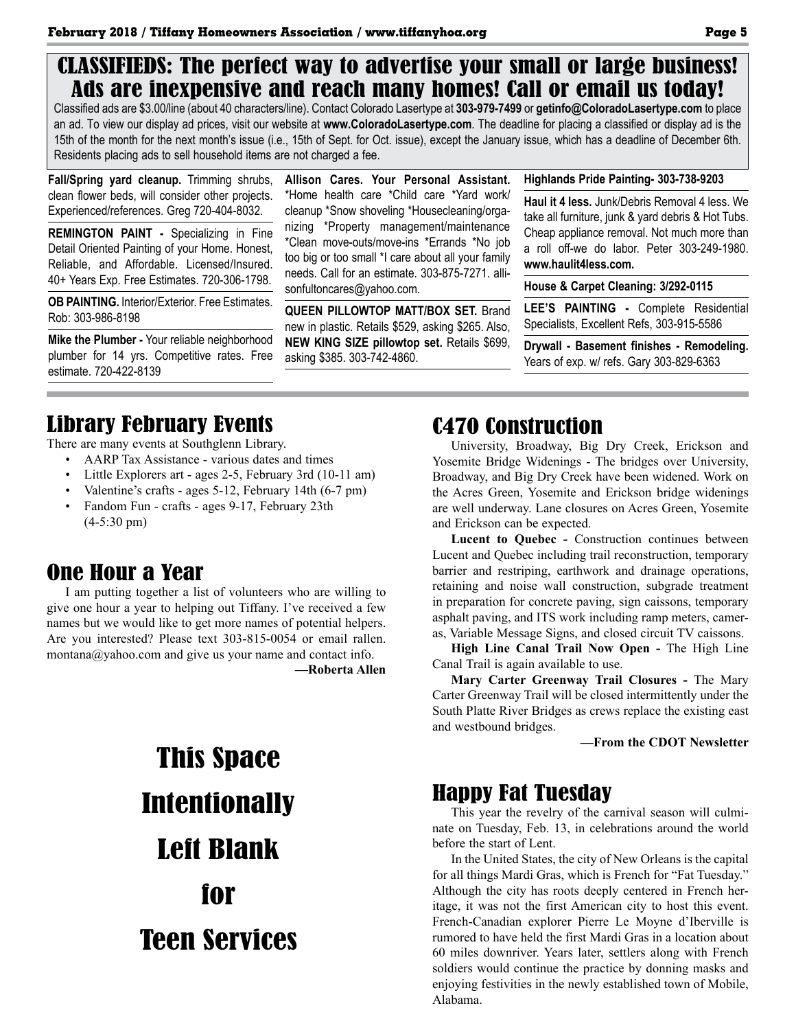### CLASSIFIEDS: The perfect way to advertise your small or large business! Ads are inexpensive and reach many homes! Call or email us today!

Classified ads are \$3.00/line (about 40 characters/line). Contact Colorado Lasertype at **303-979-7499** or **getinfo@ColoradoLasertype.com** to place an ad. To view our display ad prices, visit our website at **www.ColoradoLasertype.com**. The deadline for placing a classified or display ad is the 15th of the month for the next month's issue (i.e., 15th of Sept. for Oct. issue), except the January issue, which has a deadline of December 6th. Residents placing ads to sell household items are not charged a fee.

**Fall/Spring yard cleanup.** Trimming shrubs, clean flower beds, will consider other projects. Experienced/references. Greg 720-404-8032.

**REMINGTON PAINT -** Specializing in Fine Detail Oriented Painting of your Home. Honest, Reliable, and Affordable. Licensed/Insured. 40+ Years Exp. Free Estimates. 720-306-1798.

**OB PAINTING.** Interior/Exterior. Free Estimates. Rob: 303-986-8198

**Mike the Plumber -** Your reliable neighborhood plumber for 14 yrs. Competitive rates. Free estimate. 720-422-8139

**Allison Cares. Your Personal Assistant.** \*Home health care \*Child care \*Yard work/ cleanup \*Snow shoveling \*Housecleaning/organizing \*Property management/maintenance \*Clean move-outs/move-ins \*Errands \*No job too big or too small \*I care about all your family needs. Call for an estimate. 303-875-7271. allisonfultoncares@yahoo.com.

**QUEEN PILLOWTOP MATT/BOX SET.** Brand new in plastic. Retails \$529, asking \$265. Also, **NEW KING SIZE pillowtop set.** Retails \$699, asking \$385. 303-742-4860.

#### **Highlands Pride Painting- 303-738-9203**

**Haul it 4 less.** Junk/Debris Removal 4 less. We take all furniture, junk & yard debris & Hot Tubs. Cheap appliance removal. Not much more than a roll off-we do labor. Peter 303-249-1980. **www.haulit4less.com.** 

**House & Carpet Cleaning: 3/292-0115**

**LEE'S PAINTING -** Complete Residential Specialists, Excellent Refs, 303-915-5586

**Drywall - Basement finishes - Remodeling.**  Years of exp. w/ refs. Gary 303-829-6363

## Library February Events

There are many events at Southglenn Library.

- AARP Tax Assistance various dates and times
- Little Explorers art ages 2-5, February 3rd (10-11 am)
- Valentine's crafts ages 5-12, February 14th (6-7 pm)
- Fandom Fun crafts ages 9-17, February 23th (4-5:30 pm)

## One Hour a Year

I am putting together a list of volunteers who are willing to give one hour a year to helping out Tiffany. I've received a few names but we would like to get more names of potential helpers. Are you interested? Please text 303-815-0054 or email rallen. montana@yahoo.com and give us your name and contact info.

**—Roberta Allen**

# This Space **Intentionally** Left Blank for Teen Services

### C470 Construction

University, Broadway, Big Dry Creek, Erickson and Yosemite Bridge Widenings - The bridges over University, Broadway, and Big Dry Creek have been widened. Work on the Acres Green, Yosemite and Erickson bridge widenings are well underway. Lane closures on Acres Green, Yosemite and Erickson can be expected.

**Lucent to Quebec -** Construction continues between Lucent and Quebec including trail reconstruction, temporary barrier and restriping, earthwork and drainage operations, retaining and noise wall construction, subgrade treatment in preparation for concrete paving, sign caissons, temporary asphalt paving, and ITS work including ramp meters, cameras, Variable Message Signs, and closed circuit TV caissons.

**High Line Canal Trail Now Open -** The High Line Canal Trail is again available to use.

**Mary Carter Greenway Trail Closures -** The Mary Carter Greenway Trail will be closed intermittently under the South Platte River Bridges as crews replace the existing east and westbound bridges.

**—From the CDOT Newsletter**

### Happy Fat Tuesday

This year the revelry of the carnival season will culminate on Tuesday, Feb. 13, in celebrations around the world before the start of Lent.

In the United States, the city of New Orleans is the capital for all things Mardi Gras, which is French for "Fat Tuesday." Although the city has roots deeply centered in French heritage, it was not the first American city to host this event. French-Canadian explorer Pierre Le Moyne d'Iberville is rumored to have held the first Mardi Gras in a location about 60 miles downriver. Years later, settlers along with French soldiers would continue the practice by donning masks and enjoying festivities in the newly established town of Mobile, Alabama.